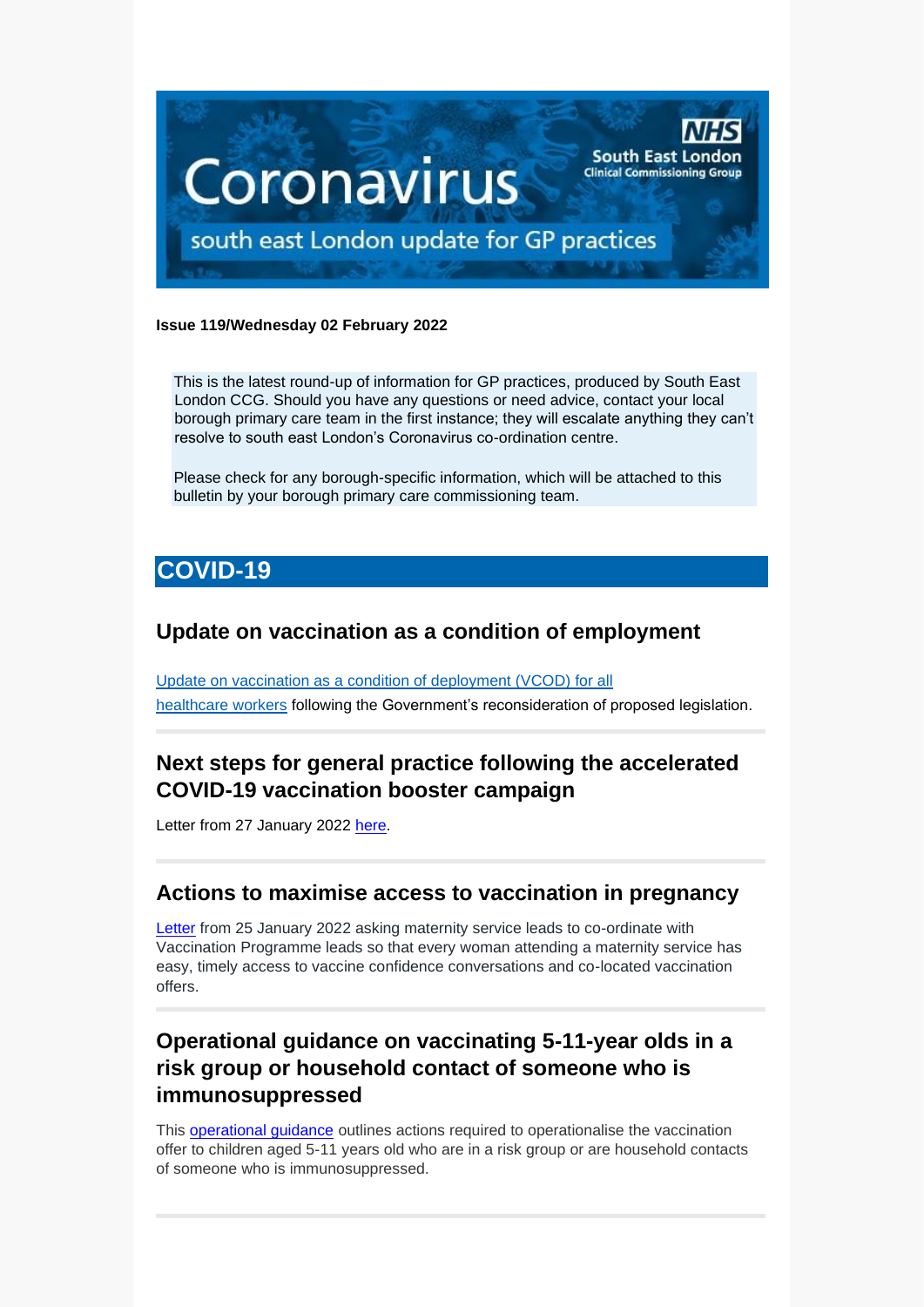

### **Issue 119/Wednesday 02 February 2022**

This is the latest round-up of information for GP practices, produced by South East London CCG. Should you have any questions or need advice, contact your local borough primary care team in the first instance; they will escalate anything they can't resolve to south east London's Coronavirus co-ordination centre.

Please check for any borough-specific information, which will be attached to this bulletin by your borough primary care commissioning team.

# **COVID-19**

## **Update on vaccination as a condition of employment**

[Update on vaccination as a condition of deployment \(VCOD\) for all](https://healthcareleadersupdate.cmail19.com/t/d-l-akhkjik-ttjhtjudo-y/)  [healthcare](https://healthcareleadersupdate.cmail19.com/t/d-l-akhkjik-ttjhtjudo-y/) workers following the Government's reconsideration of proposed legislation.

## **Next steps for general practice following the accelerated COVID-19 vaccination booster campaign**

Letter from 27 January 2022 [here.](file:///C:/Users/SiobhanSheerin/Desktop/2%20feb/Next%20steps%20for%20general%20practice%20following%20the%20accelerated%20COVID-19%20vaccination%20booster%20campaign)

### **Actions to maximise access to vaccination in pregnancy**

[Letter](https://healthcareleadersupdate.cmail20.com/t/d-l-akidhhy-trjlihttlj-j/) from 25 January 2022 asking maternity service leads to co-ordinate with Vaccination Programme leads so that every woman attending a maternity service has easy, timely access to vaccine confidence conversations and co-located vaccination offers.

# **Operational guidance on vaccinating 5-11-year olds in a risk group or household contact of someone who is immunosuppressed**

This [operational guidance](https://future.nhs.uk/connect.ti/P_C_N/view?objectId=122527909) outlines actions required to operationalise the vaccination offer to children aged 5-11 years old who are in a risk group or are household contacts of someone who is immunosuppressed.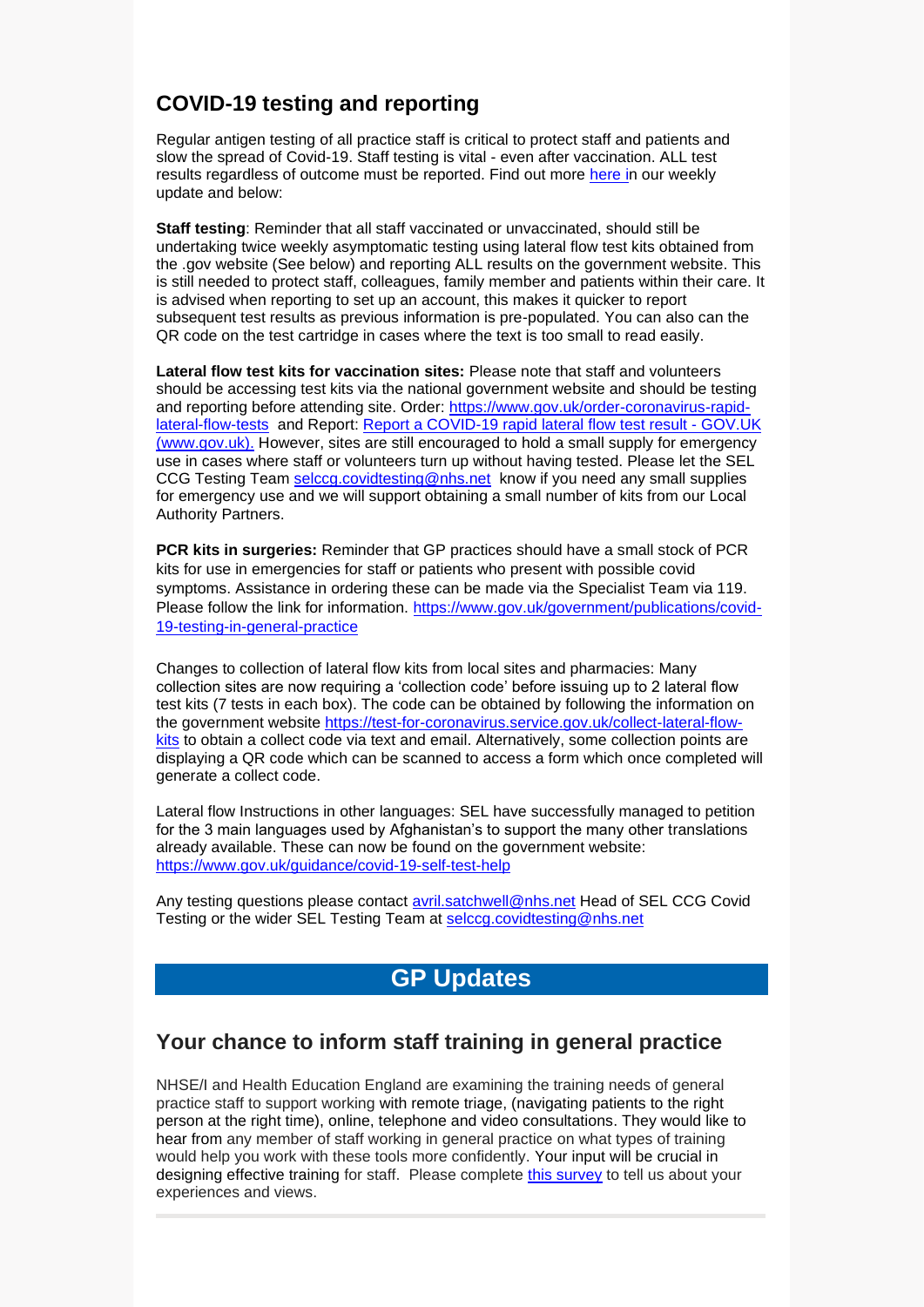# **COVID-19 testing and reporting**

Regular antigen testing of all practice staff is critical to protect staff and patients and slow the spread of Covid-19. Staff testing is vital - even after vaccination. ALL test results regardless of outcome must be reported. Find out more [here](https://selondonccg.nhs.uk/wp-content/uploads/2022/01/Key-messages-for-GP-weekly-bulletin-28-Jan.pdf) in our weekly update and below:

**Staff testing**: Reminder that all staff vaccinated or unvaccinated, should still be undertaking twice weekly asymptomatic testing using lateral flow test kits obtained from the .gov website (See below) and reporting ALL results on the government website. This is still needed to protect staff, colleagues, family member and patients within their care. It is advised when reporting to set up an account, this makes it quicker to report subsequent test results as previous information is pre-populated. You can also can the QR code on the test cartridge in cases where the text is too small to read easily.

**Lateral flow test kits for vaccination sites:** Please note that staff and volunteers should be accessing test kits via the national government website and should be testing and reporting before attending site. Order: [https://www.gov.uk/order-coronavirus-rapid](https://www.gov.uk/order-coronavirus-rapid-lateral-flow-tests)[lateral-flow-tests](https://www.gov.uk/order-coronavirus-rapid-lateral-flow-tests) and Report: [Report a COVID-19 rapid lateral flow test result -](https://www.gov.uk/report-covid19-result) GOV.UK [\(www.gov.uk\).](https://www.gov.uk/report-covid19-result) However, sites are still encouraged to hold a small supply for emergency use in cases where staff or volunteers turn up without having tested. Please let the SEL CCG Testing Team [selccg.covidtesting@nhs.net](mailto:selccg.covidtesting@nhs.net) know if you need any small supplies for emergency use and we will support obtaining a small number of kits from our Local Authority Partners.

**PCR kits in surgeries:** Reminder that GP practices should have a small stock of PCR kits for use in emergencies for staff or patients who present with possible covid symptoms. Assistance in ordering these can be made via the Specialist Team via 119. Please follow the link for information. [https://www.gov.uk/government/publications/covid-](https://www.gov.uk/government/publications/covid-19-testing-in-general-practice)[19-testing-in-general-practice](https://www.gov.uk/government/publications/covid-19-testing-in-general-practice)

Changes to collection of lateral flow kits from local sites and pharmacies: Many collection sites are now requiring a 'collection code' before issuing up to 2 lateral flow test kits (7 tests in each box). The code can be obtained by following the information on the government website [https://test-for-coronavirus.service.gov.uk/collect-lateral-flow](https://test-for-coronavirus.service.gov.uk/collect-lateral-flow-kits)[kits](https://test-for-coronavirus.service.gov.uk/collect-lateral-flow-kits) to obtain a collect code via text and email. Alternatively, some collection points are displaying a QR code which can be scanned to access a form which once completed will generate a collect code.

Lateral flow Instructions in other languages: SEL have successfully managed to petition for the 3 main languages used by Afghanistan's to support the many other translations already available. These can now be found on the government website: <https://www.gov.uk/guidance/covid-19-self-test-help>

Any testing questions please contact [avril.satchwell@nhs.net](mailto:avril.satchwell@nhs.net) Head of SEL CCG Covid Testing or the wider SEL Testing Team at [selccg.covidtesting@nhs.net](mailto:selccg.covidtesting@nhs.net)

# **GP Updates**

## **Your chance to inform staff training in general practice**

NHSE/I and Health Education England are examining the training needs of general practice staff to support working with remote triage, (navigating patients to the right person at the right time), online, telephone and video consultations. They would like to hear from any member of staff working in general practice on what types of training would help you work with these tools more confidently. Your input will be crucial in designing effective training for staff. Please complete [this survey](https://healtheducationyh.onlinesurveys.ac.uk/research-to-inform-staff-training-in-general-practice) to tell us about your experiences and views.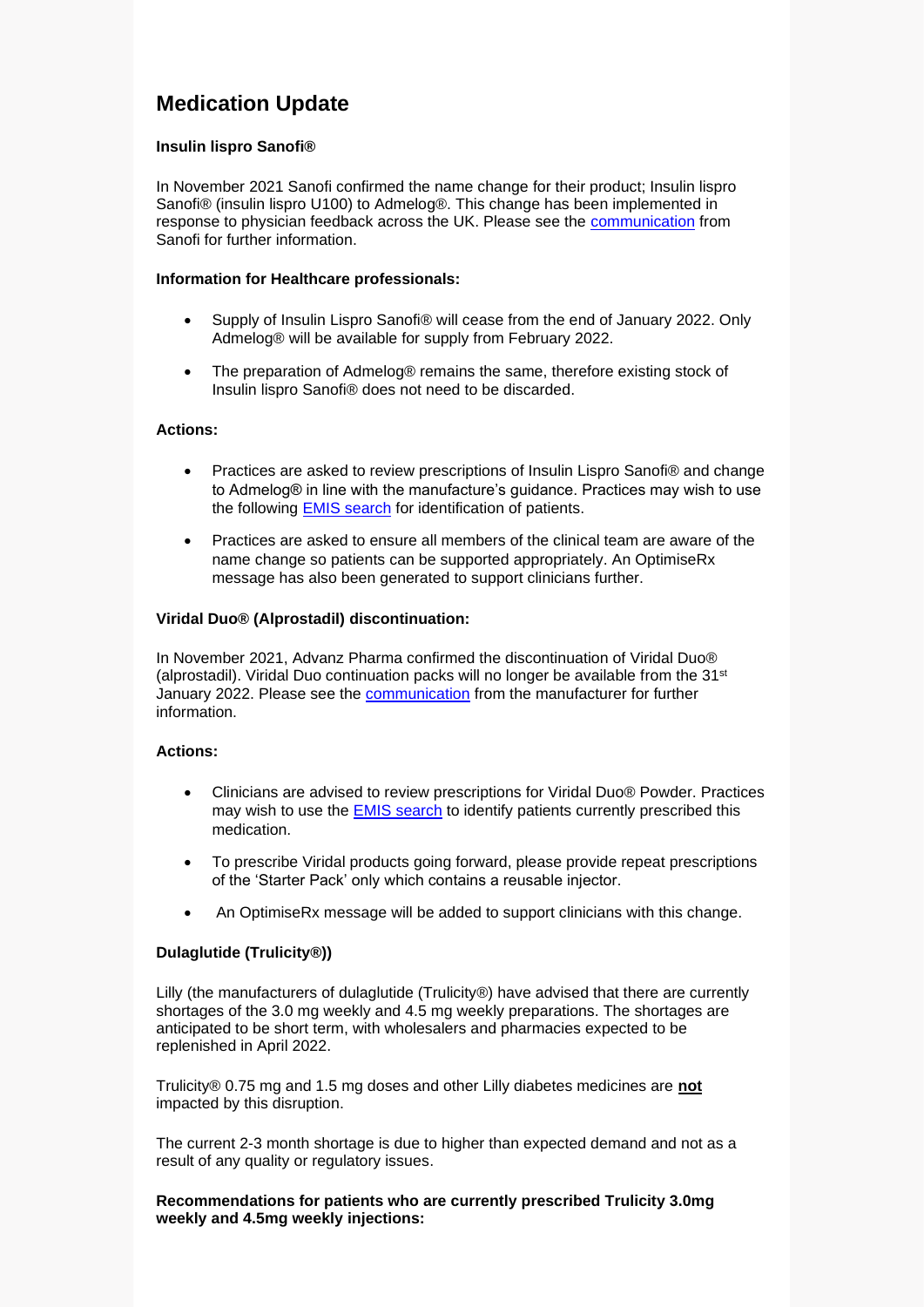# **Medication Update**

### **Insulin lispro Sanofi®**

In November 2021 Sanofi confirmed the name change for their product; Insulin lispro Sanofi® (insulin lispro U100) to Admelog®. This change has been implemented in response to physician feedback across the UK. Please see the [communication](https://selondonccg.nhs.uk/wp-content/uploads/dlm_uploads/2022/02/Insulin-lispro-Sanofi-permanent-change-to-Admelog.pdf) from Sanofi for further information.

#### **Information for Healthcare professionals:**

- Supply of Insulin Lispro Sanofi® will cease from the end of January 2022. Only Admelog® will be available for supply from February 2022.
- The preparation of Admelog® remains the same, therefore existing stock of Insulin lispro Sanofi® does not need to be discarded.

#### **Actions:**

- Practices are asked to review prescriptions of Insulin Lispro Sanofi® and change to Admelog® in line with the manufacture's guidance. Practices may wish to use the following [EMIS search](https://selondonccg.nhs.uk/healthcare-professionals/medicines-optimisation/south-east-london-medicines-optimisation-team/emis-searches/) for identification of patients.
- Practices are asked to ensure all members of the clinical team are aware of the name change so patients can be supported appropriately. An OptimiseRx message has also been generated to support clinicians further.

#### **Viridal Duo® (Alprostadil) discontinuation:**

In November 2021, Advanz Pharma confirmed the discontinuation of Viridal Duo® (alprostadil). Viridal Duo continuation packs will no longer be available from the  $31<sup>st</sup>$ January 2022. Please see the [communication](https://selondonccg.nhs.uk/wp-content/uploads/dlm_uploads/2022/02/Viridal-Discontinuation-Notification.pdf) from the manufacturer for further information.

#### **Actions:**

- Clinicians are advised to review prescriptions for Viridal Duo® Powder. Practices may wish to use the **EMIS** search to identify patients currently prescribed this medication.
- To prescribe Viridal products going forward, please provide repeat prescriptions of the 'Starter Pack' only which contains a reusable injector.
- An OptimiseRx message will be added to support clinicians with this change.

### **Dulaglutide (Trulicity®))**

Lilly (the manufacturers of dulaglutide (Trulicity®) have advised that there are currently shortages of the 3.0 mg weekly and 4.5 mg weekly preparations. The shortages are anticipated to be short term, with wholesalers and pharmacies expected to be replenished in April 2022.

Trulicity® 0.75 mg and 1.5 mg doses and other Lilly diabetes medicines are **not** impacted by this disruption.

The current 2-3 month shortage is due to higher than expected demand and not as a result of any quality or regulatory issues.

**Recommendations for patients who are currently prescribed Trulicity 3.0mg weekly and 4.5mg weekly injections:**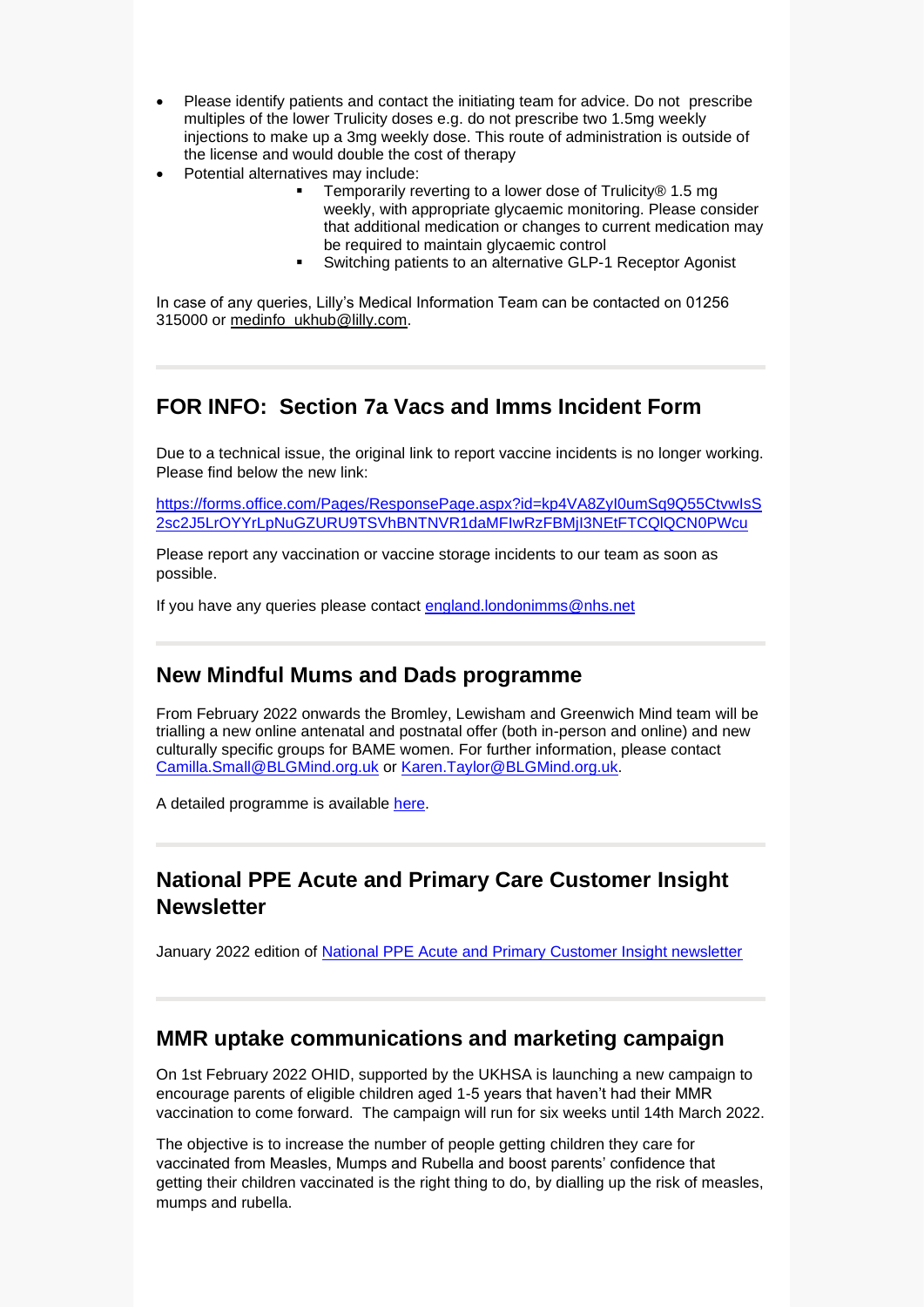- Please identify patients and contact the initiating team for advice. Do not prescribe multiples of the lower Trulicity doses e.g. do not prescribe two 1.5mg weekly injections to make up a 3mg weekly dose. This route of administration is outside of the license and would double the cost of therapy
- Potential alternatives may include:
	- Temporarily reverting to a lower dose of Trulicity® 1.5 mg weekly, with appropriate glycaemic monitoring. Please consider that additional medication or changes to current medication may be required to maintain glycaemic control
	- Switching patients to an alternative GLP-1 Receptor Agonist

In case of any queries, Lilly's Medical Information Team can be contacted on 01256 315000 or [medinfo\\_ukhub@lilly.com.](mailto:medinfo_ukhub@lilly.com)

## **FOR INFO: Section 7a Vacs and Imms Incident Form**

Due to a technical issue, the original link to report vaccine incidents is no longer working. Please find below the new link:

[https://forms.office.com/Pages/ResponsePage.aspx?id=kp4VA8ZyI0umSq9Q55CtvwIsS](https://forms.office.com/Pages/ResponsePage.aspx?id=kp4VA8ZyI0umSq9Q55CtvwIsS2sc2J5LrOYYrLpNuGZURU9TSVhBNTNVR1daMFIwRzFBMjI3NEtFTCQlQCN0PWcu) [2sc2J5LrOYYrLpNuGZURU9TSVhBNTNVR1daMFIwRzFBMjI3NEtFTCQlQCN0PWcu](https://forms.office.com/Pages/ResponsePage.aspx?id=kp4VA8ZyI0umSq9Q55CtvwIsS2sc2J5LrOYYrLpNuGZURU9TSVhBNTNVR1daMFIwRzFBMjI3NEtFTCQlQCN0PWcu)

Please report any vaccination or vaccine storage incidents to our team as soon as possible.

If you have any queries please contact [england.londonimms@nhs.net](mailto:england.londonimms@nhs.net)

### **New Mindful Mums and Dads programme**

From February 2022 onwards the Bromley, Lewisham and Greenwich Mind team will be trialling a new online antenatal and postnatal offer (both in-person and online) and new culturally specific groups for BAME women. For further information, please contact [Camilla.Small@BLGMind.org.uk](mailto:Camilla.Small@BLGMind.org.uk) or [Karen.Taylor@BLGMind.org.uk.](mailto:Karen.Taylor@BLGMind.org.uk)

A detailed programme is available [here.](https://selondonccg.nhs.uk/wp-content/uploads/2022/02/Mindful-mums.pdf)

## **National PPE Acute and Primary Care Customer Insight Newsletter**

January 2022 edition of [National PPE Acute and Primary Customer Insight newsletter](https://sway.office.com/SNMzB3CKq5JC3dCQ?ref=Link) 

### **MMR uptake communications and marketing campaign**

On 1st February 2022 OHID, supported by the UKHSA is launching a new campaign to encourage parents of eligible children aged 1-5 years that haven't had their MMR vaccination to come forward. The campaign will run for six weeks until 14th March 2022.

The objective is to increase the number of people getting children they care for vaccinated from Measles, Mumps and Rubella and boost parents' confidence that getting their children vaccinated is the right thing to do, by dialling up the risk of measles, mumps and rubella.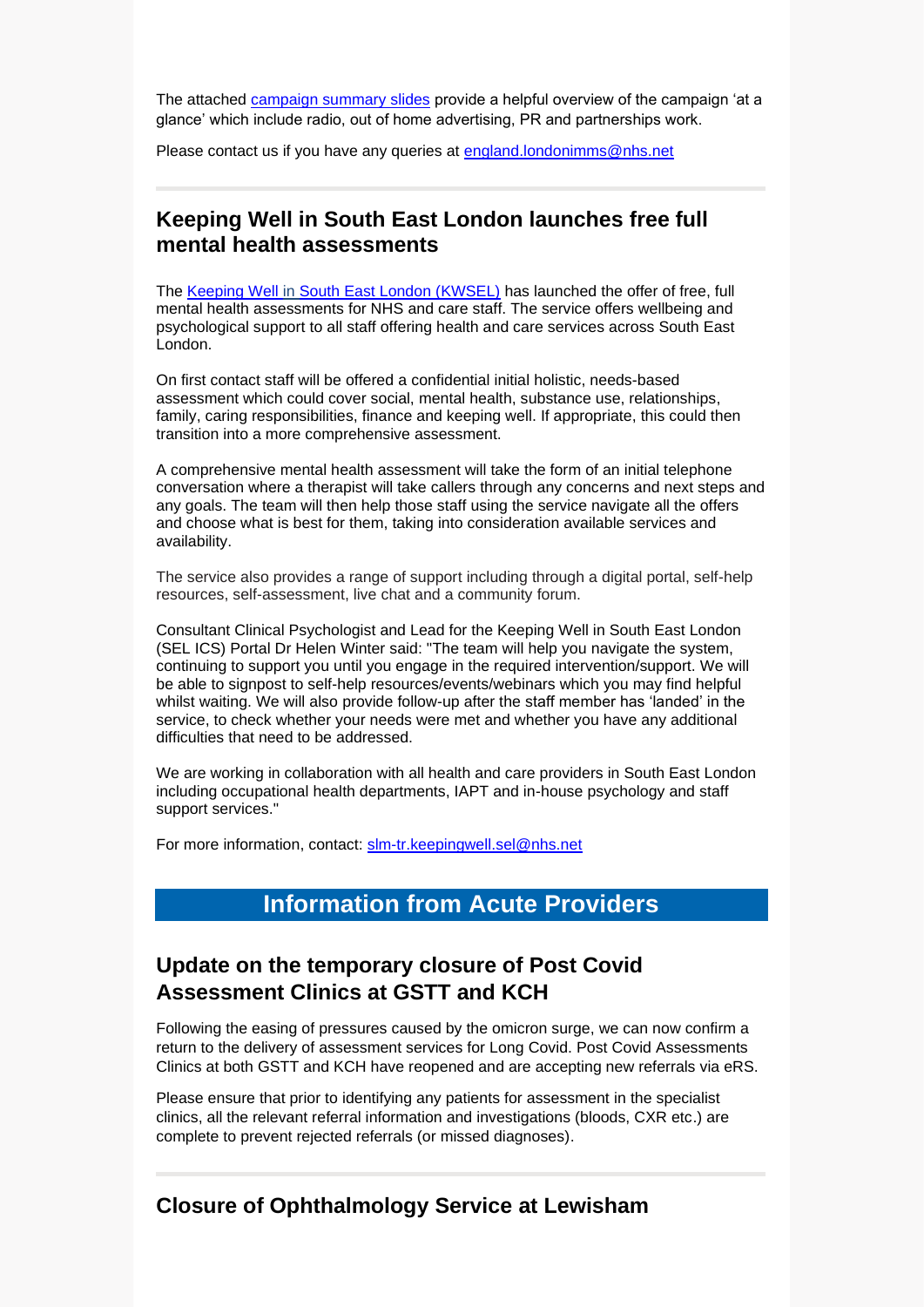The attached [campaign summary slides](https://selondonccg.nhs.uk/wp-content/uploads/2022/02/Item-2-Childhood-Vaccination-Campaign-campaign-summary.pdf) provide a helpful overview of the campaign 'at a glance' which include radio, out of home advertising, PR and partnerships work.

Please contact us if you have any queries at [england.londonimms@nhs.net](mailto:england.londonimms@nhs.net)

## **Keeping Well in South East London launches free full mental health assessments**

The [Keeping Well in South East London \(KWSEL\)](https://scanmail.trustwave.com/?c=8248&d=_NL54ZKdl1dRxYs6mM3CvX0kISSwGr6nBr1ceRNHBg&u=https%3a%2f%2fwww%2ekeepingwellsel%2enhs%2euk%2f) has launched the offer of free, full mental health assessments for NHS and care staff. The service offers wellbeing and psychological support to all staff offering health and care services across South East London.

On first contact staff will be offered a confidential initial holistic, needs-based assessment which could cover social, mental health, substance use, relationships, family, caring responsibilities, finance and keeping well. If appropriate, this could then transition into a more comprehensive assessment.

A comprehensive mental health assessment will take the form of an initial telephone conversation where a therapist will take callers through any concerns and next steps and any goals. The team will then help those staff using the service navigate all the offers and choose what is best for them, taking into consideration available services and availability.

The service also provides a range of support including through a digital portal, self-help resources, self-assessment, live chat and a community forum.

Consultant Clinical Psychologist and Lead for the Keeping Well in South East London (SEL ICS) Portal Dr Helen Winter said: "The team will help you navigate the system, continuing to support you until you engage in the required intervention/support. We will be able to signpost to self-help resources/events/webinars which you may find helpful whilst waiting. We will also provide follow-up after the staff member has 'landed' in the service, to check whether your needs were met and whether you have any additional difficulties that need to be addressed.

We are working in collaboration with all health and care providers in South East London including occupational health departments, IAPT and in-house psychology and staff support services."

For more information, contact: [slm-tr.keepingwell.sel@nhs.net](mailto:slm-tr.keepingwell.sel@nhs.net)

## **Information from Acute Providers**

## **Update on the temporary closure of Post Covid Assessment Clinics at GSTT and KCH**

Following the easing of pressures caused by the omicron surge, we can now confirm a return to the delivery of assessment services for Long Covid. Post Covid Assessments Clinics at both GSTT and KCH have reopened and are accepting new referrals via eRS.

Please ensure that prior to identifying any patients for assessment in the specialist clinics, all the relevant referral information and investigations (bloods, CXR etc.) are complete to prevent rejected referrals (or missed diagnoses).

### **Closure of Ophthalmology Service at Lewisham**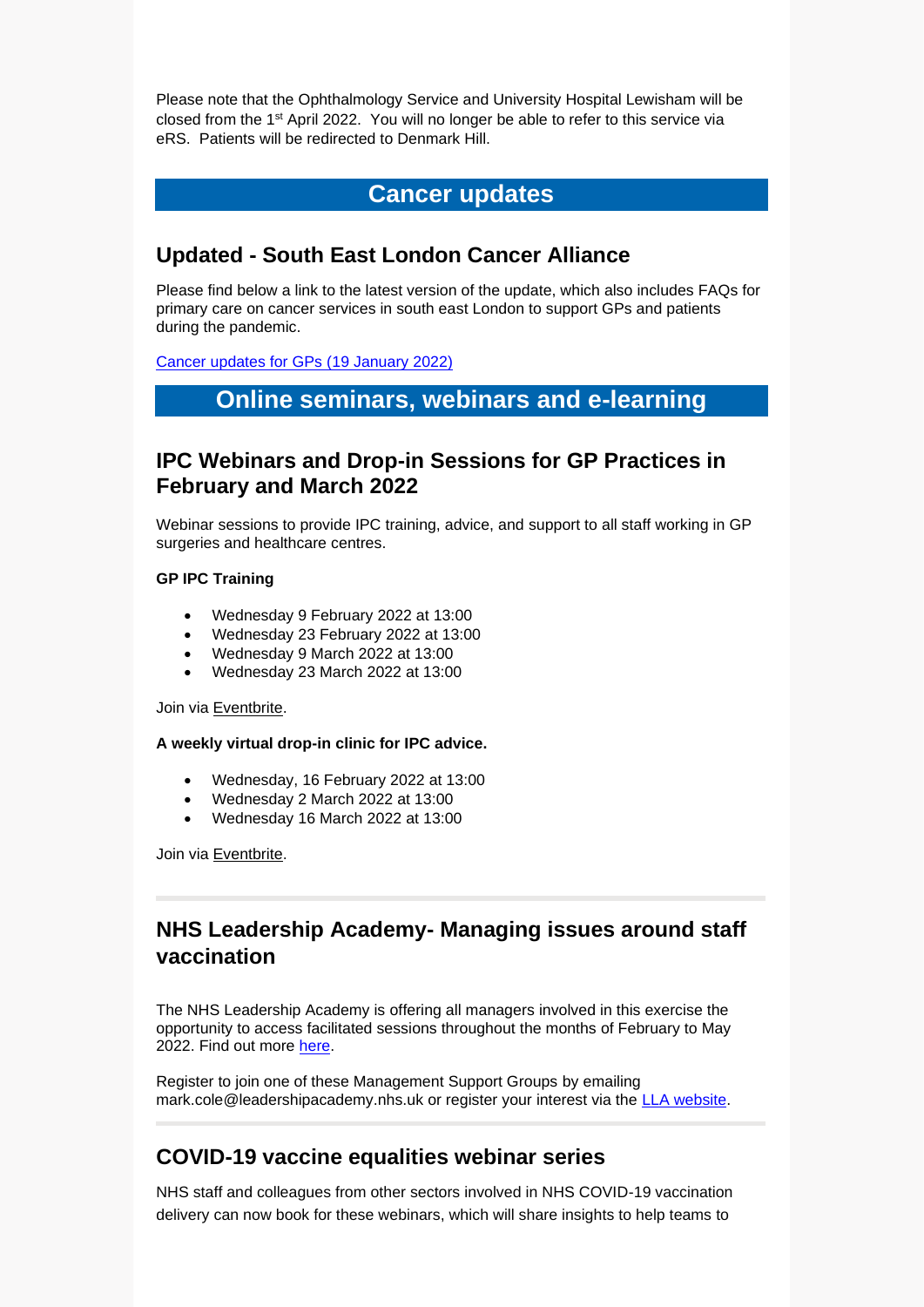Please note that the Ophthalmology Service and University Hospital Lewisham will be closed from the 1st April 2022. You will no longer be able to refer to this service via eRS. Patients will be redirected to Denmark Hill.

## **Cancer updates**

## **Updated - South East London Cancer Alliance**

Please find below a link to the latest version of the update, which also includes FAQs for primary care on cancer services in south east London to support GPs and patients during the pandemic.

[Cancer updates for GPs \(19 January 2022\)](https://selondonccg.nhs.uk/wp-content/uploads/2022/01/SEL-Cancer-Updates-FAQs-for-Primary-Care-19-Jan-2022.pdf) 

## **Online seminars, webinars and e-learning**

## **IPC Webinars and Drop-in Sessions for GP Practices in February and March 2022**

Webinar sessions to provide IPC training, advice, and support to all staff working in GP surgeries and healthcare centres.

### **GP IPC Training**

- Wednesday 9 February 2022 at 13:00
- Wednesday 23 February 2022 at 13:00
- Wednesday 9 March 2022 at 13:00
- Wednesday 23 March 2022 at 13:00

#### Join via [Eventbrite.](https://www.eventbrite.co.uk/x/ipc-refresher-training-for-gp-practices-tickets-106091235742)

#### **A weekly virtual drop-in clinic for IPC advice.**

- Wednesday, 16 February 2022 at 13:00
- Wednesday 2 March 2022 at 13:00
- Wednesday 16 March 2022 at 13:00

Join via [Eventbrite.](https://www.eventbrite.co.uk/x/ipc-advice-clinic-for-gp-practices-in-london-tickets-256956944137)

## **NHS Leadership Academy- Managing issues around staff vaccination**

The NHS Leadership Academy is offering all managers involved in this exercise the opportunity to access facilitated sessions throughout the months of February to May 2022. Find out more [here.](https://selondonccg.nhs.uk/wp-content/uploads/2022/01/NHS-LLL-Managing-issues-around-staff-vaccination-support-sessions-v1.01.pdf)

Register to join one of these Management Support Groups by emailing mark.cole@leadershipacademy.nhs.uk or register your interest via the [LLA website.](https://london.leadershipacademy.nhs.uk/2022/01/24/managing-issues-around-staff-vaccination/)

## **COVID-19 vaccine equalities webinar series**

NHS staff and colleagues from other sectors involved in NHS COVID-19 vaccination delivery can now book for these webinars, which will share insights to help teams to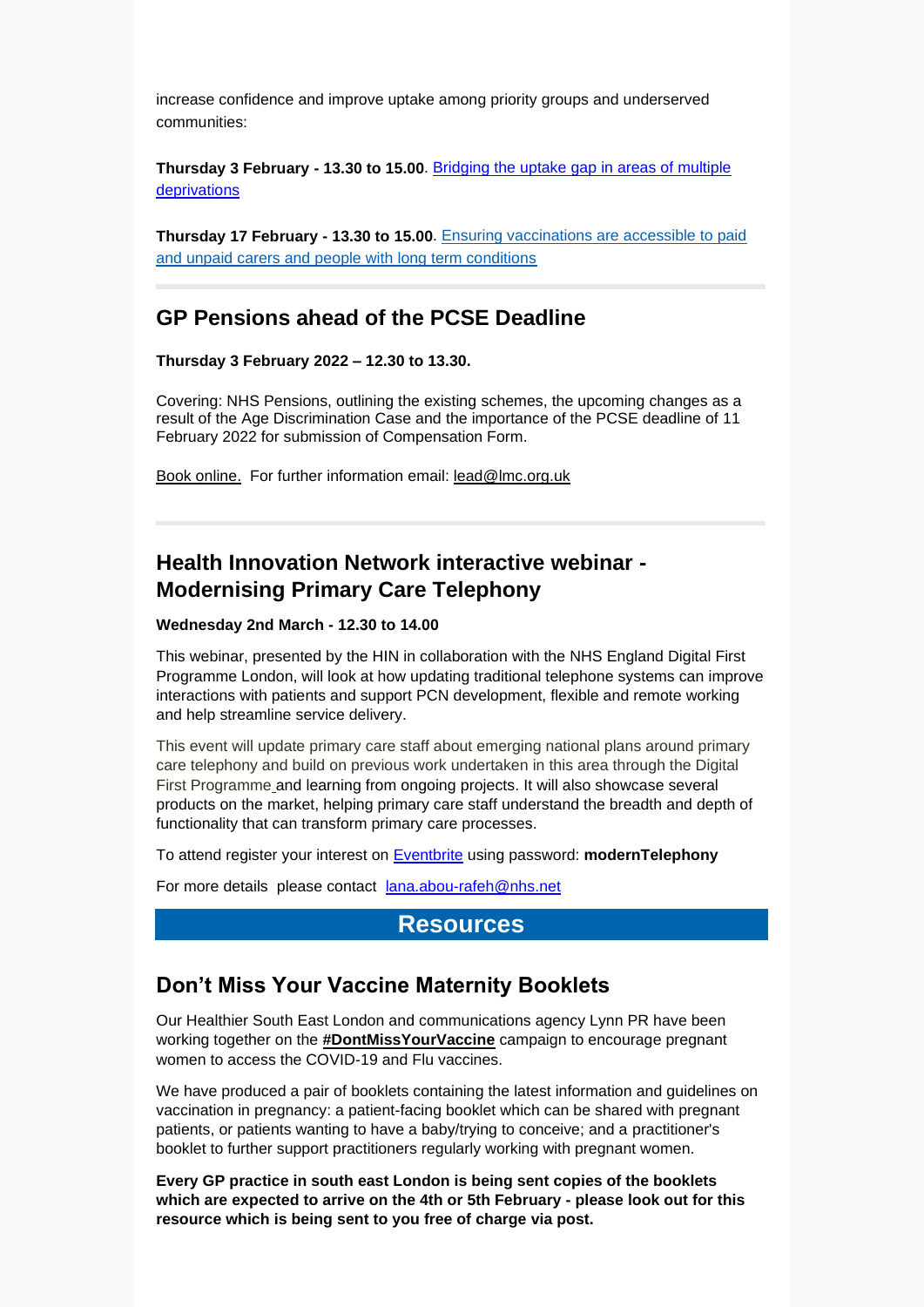increase confidence and improve uptake among priority groups and underserved communities:

**Thursday 3 February - 13.30 to 15.00**. [Bridging the uptake gap in areas of multiple](https://www.events.england.nhs.uk/events/bridging-the-uptake-gap)  [deprivations](https://www.events.england.nhs.uk/events/bridging-the-uptake-gap)

**Thursday 17 February - 13.30 to 15.00**. [Ensuring vaccinations are accessible to paid](https://www.events.england.nhs.uk/events/covid-vaccination-carers-and-vulnerable-population)  [and unpaid carers and people with long term conditions](https://www.events.england.nhs.uk/events/covid-vaccination-carers-and-vulnerable-population)

## **[GP Pensions ahead of the PCSE Deadline](https://eur02.safelinks.protection.outlook.com/?url=https%3A%2F%2Fwww.lmc.org.uk%2Fvisageimages%2FEvents%2F2022%2F2022-02-03%2520NHS%2520Pensions%2520-%2520GP%2520Pensions%2520ahead%2520of%2520the%2520PCSE%2520Deadline%2520booking%2520form.pdf&data=04%7C01%7CRizwana.Ahmed%40lmc.org.uk%7C3d0b3ae9ee5d4253b01b08d9e182cb9f%7C5670c82635004dfd9a7fc45939b3c53f%7C0%7C0%7C637788774143520269%7CUnknown%7CTWFpbGZsb3d8eyJWIjoiMC4wLjAwMDAiLCJQIjoiV2luMzIiLCJBTiI6Ik1haWwiLCJXVCI6Mn0%3D%7C3000&sdata=2ZHDYFmKaj%2FXRxnLgE2uecsLdrPvDtguWgvTut8hgxw%3D&reserved=0)**

**Thursday 3 February 2022 – 12.30 to 13.30.**

Covering: NHS Pensions, outlining the existing schemes, the upcoming changes as a result of the Age Discrimination Case and the importance of the PCSE deadline of 11 February 2022 for submission of Compensation Form.

[Book online.](https://eur02.safelinks.protection.outlook.com/?url=https%3A%2F%2Fwww.lmc.org.uk%2Fonlinebooking.php%3Feventcode%3D000381%26id%3D&data=04%7C01%7CRizwana.Ahmed%40lmc.org.uk%7C3d0b3ae9ee5d4253b01b08d9e182cb9f%7C5670c82635004dfd9a7fc45939b3c53f%7C0%7C0%7C637788774143520269%7CUnknown%7CTWFpbGZsb3d8eyJWIjoiMC4wLjAwMDAiLCJQIjoiV2luMzIiLCJBTiI6Ik1haWwiLCJXVCI6Mn0%3D%7C3000&sdata=7Lt6G3Sfh0F545yoOQQ0YlGBrdkL%2FRethvBo9wN5fqY%3D&reserved=0) For further information email: [lead@lmc.org.uk](mailto:lead@lmc.org.uk)

# **Health Innovation Network interactive webinar - Modernising Primary Care Telephony**

### **Wednesday 2nd March - 12.30 to 14.00**

This webinar, presented by the HIN in collaboration with the NHS England Digital First Programme London, will look at how updating traditional telephone systems can improve interactions with patients and support PCN development, flexible and remote working and help streamline service delivery.

This event will update primary care staff about emerging national plans around primary care telephony and build on previous work undertaken in this area through the Digital First Programme and learning from ongoing projects. It will also showcase several products on the market, helping primary care staff understand the breadth and depth of functionality that can transform primary care processes.

To attend register your interest on [Eventbrite](https://www.eventbrite.co.uk/e/modernising-primary-care-telephony-tickets-239108117817) using password: **modernTelephony**

For more details please contact [lana.abou-rafeh@nhs.net](mailto:lana.abou-rafeh@nhs.net)

### **Resources**

### **Don't Miss Your Vaccine Maternity Booklets**

Our Healthier South East London and communications agency Lynn PR have been working together on the **[#DontMissYourVaccine](https://nhsselvax.com/im-pregnant/)** campaign to encourage pregnant women to access the COVID-19 and Flu vaccines.

We have produced a pair of booklets containing the latest information and guidelines on vaccination in pregnancy: a patient-facing booklet which can be shared with pregnant patients, or patients wanting to have a baby/trying to conceive; and a practitioner's booklet to further support practitioners regularly working with pregnant women.

**Every GP practice in south east London is being sent copies of the booklets which are expected to arrive on the 4th or 5th February - please look out for this resource which is being sent to you free of charge via post.**